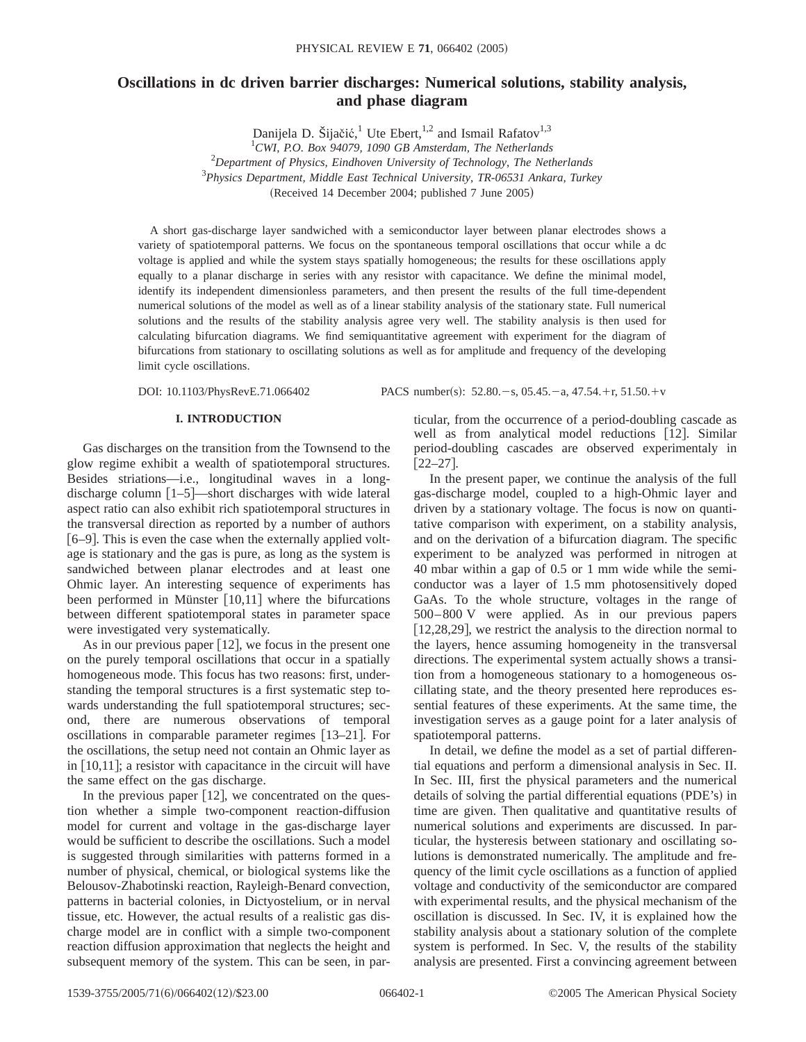# **Oscillations in dc driven barrier discharges: Numerical solutions, stability analysis, and phase diagram**

Danijela D. Šijačić,<sup>1</sup> Ute Ebert,<sup>1,2</sup> and Ismail Rafatov<sup>1,3</sup>

1 *CWI, P.O. Box 94079, 1090 GB Amsterdam, The Netherlands*

2 *Department of Physics, Eindhoven University of Technology, The Netherlands*

3 *Physics Department, Middle East Technical University, TR-06531 Ankara, Turkey*

 $(Received 14 December 2004; published 7 June 2005)$ 

A short gas-discharge layer sandwiched with a semiconductor layer between planar electrodes shows a variety of spatiotemporal patterns. We focus on the spontaneous temporal oscillations that occur while a dc voltage is applied and while the system stays spatially homogeneous; the results for these oscillations apply equally to a planar discharge in series with any resistor with capacitance. We define the minimal model, identify its independent dimensionless parameters, and then present the results of the full time-dependent numerical solutions of the model as well as of a linear stability analysis of the stationary state. Full numerical solutions and the results of the stability analysis agree very well. The stability analysis is then used for calculating bifurcation diagrams. We find semiquantitative agreement with experiment for the diagram of bifurcations from stationary to oscillating solutions as well as for amplitude and frequency of the developing limit cycle oscillations.

DOI: 10.1103/PhysRevE.71.066402 PACS number(s): 52.80. - s, 05.45. - a, 47.54. + r, 51.50. + v

## **I. INTRODUCTION**

Gas discharges on the transition from the Townsend to the glow regime exhibit a wealth of spatiotemporal structures. Besides striations—i.e., longitudinal waves in a longdischarge column  $[1–5]$ —short discharges with wide lateral aspect ratio can also exhibit rich spatiotemporal structures in the transversal direction as reported by a number of authors  $[6–9]$ . This is even the case when the externally applied voltage is stationary and the gas is pure, as long as the system is sandwiched between planar electrodes and at least one Ohmic layer. An interesting sequence of experiments has been performed in Münster  $[10,11]$  where the bifurcations between different spatiotemporal states in parameter space were investigated very systematically.

As in our previous paper  $[12]$ , we focus in the present one on the purely temporal oscillations that occur in a spatially homogeneous mode. This focus has two reasons: first, understanding the temporal structures is a first systematic step towards understanding the full spatiotemporal structures; second, there are numerous observations of temporal oscillations in comparable parameter regimes  $[13-21]$ . For the oscillations, the setup need not contain an Ohmic layer as in  $[10,11]$ ; a resistor with capacitance in the circuit will have the same effect on the gas discharge.

In the previous paper  $[12]$ , we concentrated on the question whether a simple two-component reaction-diffusion model for current and voltage in the gas-discharge layer would be sufficient to describe the oscillations. Such a model is suggested through similarities with patterns formed in a number of physical, chemical, or biological systems like the Belousov-Zhabotinski reaction, Rayleigh-Benard convection, patterns in bacterial colonies, in Dictyostelium, or in nerval tissue, etc. However, the actual results of a realistic gas discharge model are in conflict with a simple two-component reaction diffusion approximation that neglects the height and subsequent memory of the system. This can be seen, in particular, from the occurrence of a period-doubling cascade as well as from analytical model reductions [12]. Similar period-doubling cascades are observed experimentaly in  $[22-27]$ .

In the present paper, we continue the analysis of the full gas-discharge model, coupled to a high-Ohmic layer and driven by a stationary voltage. The focus is now on quantitative comparison with experiment, on a stability analysis, and on the derivation of a bifurcation diagram. The specific experiment to be analyzed was performed in nitrogen at 40 mbar within a gap of 0.5 or 1 mm wide while the semiconductor was a layer of 1.5 mm photosensitively doped GaAs. To the whole structure, voltages in the range of 500–800 V were applied. As in our previous papers  $[12,28,29]$ , we restrict the analysis to the direction normal to the layers, hence assuming homogeneity in the transversal directions. The experimental system actually shows a transition from a homogeneous stationary to a homogeneous oscillating state, and the theory presented here reproduces essential features of these experiments. At the same time, the investigation serves as a gauge point for a later analysis of spatiotemporal patterns.

In detail, we define the model as a set of partial differential equations and perform a dimensional analysis in Sec. II. In Sec. III, first the physical parameters and the numerical details of solving the partial differential equations (PDE's) in time are given. Then qualitative and quantitative results of numerical solutions and experiments are discussed. In particular, the hysteresis between stationary and oscillating solutions is demonstrated numerically. The amplitude and frequency of the limit cycle oscillations as a function of applied voltage and conductivity of the semiconductor are compared with experimental results, and the physical mechanism of the oscillation is discussed. In Sec. IV, it is explained how the stability analysis about a stationary solution of the complete system is performed. In Sec. V, the results of the stability analysis are presented. First a convincing agreement between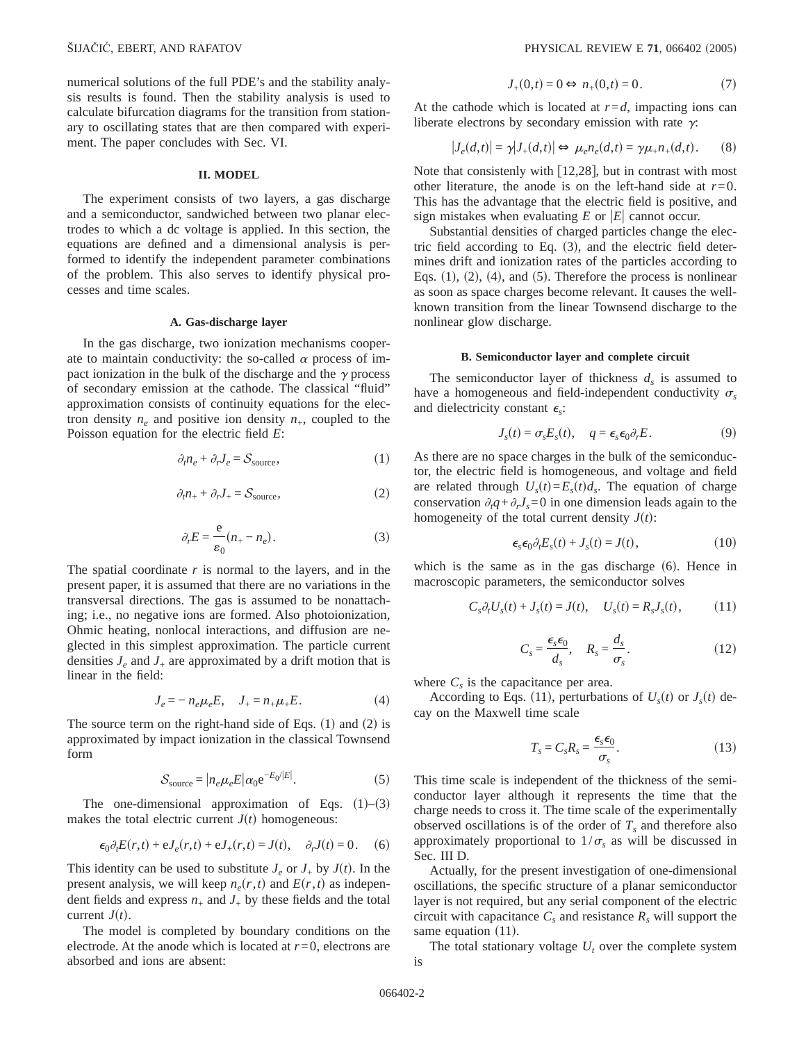numerical solutions of the full PDE's and the stability analysis results is found. Then the stability analysis is used to calculate bifurcation diagrams for the transition from stationary to oscillating states that are then compared with experiment. The paper concludes with Sec. VI.

## **II. MODEL**

The experiment consists of two layers, a gas discharge and a semiconductor, sandwiched between two planar electrodes to which a dc voltage is applied. In this section, the equations are defined and a dimensional analysis is performed to identify the independent parameter combinations of the problem. This also serves to identify physical processes and time scales.

#### **A. Gas-discharge layer**

In the gas discharge, two ionization mechanisms cooperate to maintain conductivity: the so-called  $\alpha$  process of impact ionization in the bulk of the discharge and the  $\gamma$  process of secondary emission at the cathode. The classical "fluid" approximation consists of continuity equations for the electron density  $n_e$  and positive ion density  $n_+$ , coupled to the Poisson equation for the electric field *E*:

$$
\partial_t n_e + \partial_r J_e = \mathcal{S}_{\text{source}},\tag{1}
$$

$$
\partial_t n_+ + \partial_r J_+ = \mathcal{S}_{\text{source}},\tag{2}
$$

$$
\partial_r E = \frac{e}{\varepsilon_0} (n_+ - n_e). \tag{3}
$$

The spatial coordinate  $r$  is normal to the layers, and in the present paper, it is assumed that there are no variations in the transversal directions. The gas is assumed to be nonattaching; i.e., no negative ions are formed. Also photoionization, Ohmic heating, nonlocal interactions, and diffusion are neglected in this simplest approximation. The particle current densities  $J_e$  and  $J_+$  are approximated by a drift motion that is linear in the field:

$$
J_e = -n_e \mu_e E, \quad J_+ = n_+ \mu_+ E. \tag{4}
$$

The source term on the right-hand side of Eqs.  $(1)$  and  $(2)$  is approximated by impact ionization in the classical Townsend form

$$
S_{\text{source}} = |n_e \mu_e E| \alpha_0 e^{-E_0/|E|}.
$$
 (5)

The one-dimensional approximation of Eqs.  $(1)$ – $(3)$ makes the total electric current  $J(t)$  homogeneous:

$$
\epsilon_0 \partial_t E(r,t) + eJ_e(r,t) + eJ_+(r,t) = J(t), \quad \partial_r J(t) = 0. \tag{6}
$$

This identity can be used to substitute  $J_e$  or  $J_+$  by  $J(t)$ . In the present analysis, we will keep  $n_e(r, t)$  and  $E(r, t)$  as independent fields and express  $n_+$  and  $J_+$  by these fields and the total current  $J(t)$ .

The model is completed by boundary conditions on the electrode. At the anode which is located at  $r=0$ , electrons are absorbed and ions are absent:

$$
J_{+}(0,t) = 0 \Leftrightarrow n_{+}(0,t) = 0. \tag{7}
$$

At the cathode which is located at  $r = d$ , impacting ions can liberate electrons by secondary emission with rate  $\gamma$ :

$$
|J_e(d,t)| = \gamma |J_+(d,t)| \Leftrightarrow \mu_e n_e(d,t) = \gamma \mu_+ n_+(d,t). \tag{8}
$$

Note that consistenly with  $[12,28]$ , but in contrast with most other literature, the anode is on the left-hand side at  $r=0$ . This has the advantage that the electric field is positive, and sign mistakes when evaluating  $E$  or  $|E|$  cannot occur.

Substantial densities of charged particles change the electric field according to Eq.  $(3)$ , and the electric field determines drift and ionization rates of the particles according to Eqs.  $(1)$ ,  $(2)$ ,  $(4)$ , and  $(5)$ . Therefore the process is nonlinear as soon as space charges become relevant. It causes the wellknown transition from the linear Townsend discharge to the nonlinear glow discharge.

#### **B. Semiconductor layer and complete circuit**

The semiconductor layer of thickness  $d<sub>s</sub>$  is assumed to have a homogeneous and field-independent conductivity  $\sigma_s$ and dielectricity constant  $\epsilon_s$ :

$$
J_s(t) = \sigma_s E_s(t), \quad q = \epsilon_s \epsilon_0 \partial_r E. \tag{9}
$$

As there are no space charges in the bulk of the semiconductor, the electric field is homogeneous, and voltage and field are related through  $U_s(t) = E_s(t) d_s$ . The equation of charge conservation  $\partial_t q + \partial_r J_s = 0$  in one dimension leads again to the homogeneity of the total current density  $J(t)$ :

$$
\epsilon_s \epsilon_0 \partial_t E_s(t) + J_s(t) = J(t), \qquad (10)
$$

which is the same as in the gas discharge  $(6)$ . Hence in macroscopic parameters, the semiconductor solves

$$
C_s \partial_t U_s(t) + J_s(t) = J(t), \quad U_s(t) = R_s J_s(t), \tag{11}
$$

$$
C_s = \frac{\epsilon_s \epsilon_0}{d_s}, \quad R_s = \frac{d_s}{\sigma_s}.
$$
 (12)

where  $C_s$  is the capacitance per area.

According to Eqs. (11), perturbations of  $U_s(t)$  or  $J_s(t)$  decay on the Maxwell time scale

$$
T_s = C_s R_s = \frac{\epsilon_s \epsilon_0}{\sigma_s}.
$$
\n(13)

This time scale is independent of the thickness of the semiconductor layer although it represents the time that the charge needs to cross it. The time scale of the experimentally observed oscillations is of the order of  $T_s$  and therefore also approximately proportional to  $1/\sigma_s$  as will be discussed in Sec. III D.

Actually, for the present investigation of one-dimensional oscillations, the specific structure of a planar semiconductor layer is not required, but any serial component of the electric circuit with capacitance  $C_s$  and resistance  $R_s$  will support the same equation  $(11)$ .

The total stationary voltage  $U_t$  over the complete system is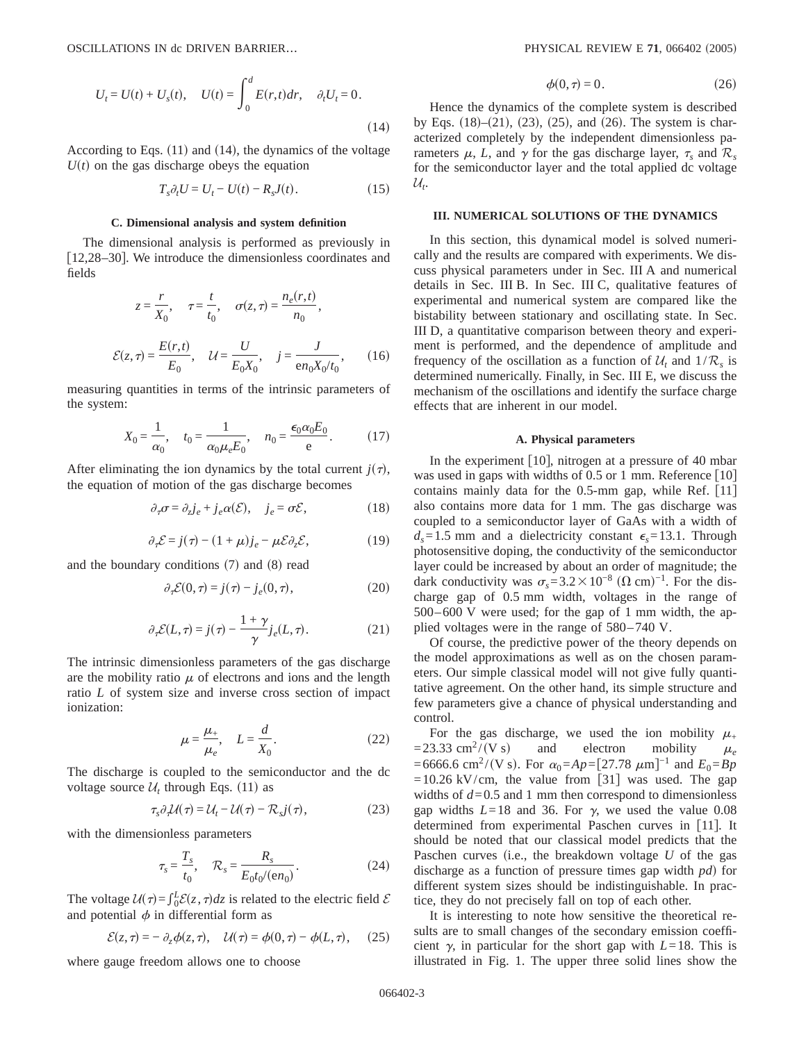$$
U_t = U(t) + U_s(t), \quad U(t) = \int_0^d E(r, t) dr, \quad \partial_t U_t = 0.
$$
\n(14)

According to Eqs.  $(11)$  and  $(14)$ , the dynamics of the voltage  $U(t)$  on the gas discharge obeys the equation

$$
T_s \partial_t U = U_t - U(t) - R_s J(t). \tag{15}
$$

#### **C. Dimensional analysis and system definition**

The dimensional analysis is performed as previously in  $[12,28-30]$ . We introduce the dimensionless coordinates and fields

$$
z = \frac{r}{X_0}, \quad \tau = \frac{t}{t_0}, \quad \sigma(z, \tau) = \frac{n_e(r, t)}{n_0},
$$

$$
\mathcal{E}(z, \tau) = \frac{E(r, t)}{E_0}, \quad \mathcal{U} = \frac{U}{E_0 X_0}, \quad j = \frac{J}{e n_0 X_0 / t_0}, \quad (16)
$$

measuring quantities in terms of the intrinsic parameters of the system:

$$
X_0 = \frac{1}{\alpha_0}
$$
,  $t_0 = \frac{1}{\alpha_0 \mu_e E_0}$ ,  $n_0 = \frac{\epsilon_0 \alpha_0 E_0}{e}$ . (17)

After eliminating the ion dynamics by the total current  $j(\tau)$ , the equation of motion of the gas discharge becomes

$$
\partial_{\tau}\sigma = \partial_{z}j_{e} + j_{e}\alpha(\mathcal{E}), \quad j_{e} = \sigma\mathcal{E}, \tag{18}
$$

$$
\partial_{\tau} \mathcal{E} = j(\tau) - (1 + \mu) j_e - \mu \mathcal{E} \partial_z \mathcal{E}, \tag{19}
$$

and the boundary conditions  $(7)$  and  $(8)$  read

$$
\partial_{\tau} \mathcal{E}(0,\tau) = j(\tau) - j_e(0,\tau), \qquad (20)
$$

$$
\partial_{\tau} \mathcal{E}(L,\tau) = j(\tau) - \frac{1+\gamma}{\gamma} j_e(L,\tau). \tag{21}
$$

The intrinsic dimensionless parameters of the gas discharge are the mobility ratio  $\mu$  of electrons and ions and the length ratio *L* of system size and inverse cross section of impact ionization:

$$
\mu = \frac{\mu_+}{\mu_e}, \quad L = \frac{d}{X_0}.\tag{22}
$$

The discharge is coupled to the semiconductor and the dc voltage source  $\mathcal{U}_t$  through Eqs. (11) as

$$
\tau_s \partial_\tau \mathcal{U}(\tau) = \mathcal{U}_t - \mathcal{U}(\tau) - \mathcal{R}_s j(\tau), \tag{23}
$$

with the dimensionless parameters

$$
\tau_s = \frac{T_s}{t_0}, \quad \mathcal{R}_s = \frac{R_s}{E_0 t_0 / (\epsilon n_0)}.
$$
 (24)

The voltage  $U(\tau) = \int_0^L \mathcal{E}(z, \tau) dz$  is related to the electric field  $\mathcal{E}$ and potential  $\phi$  in differential form as

$$
\mathcal{E}(z,\tau) = -\partial_z \phi(z,\tau), \quad \mathcal{U}(\tau) = \phi(0,\tau) - \phi(L,\tau), \quad (25)
$$

where gauge freedom allows one to choose

$$
\phi(0,\tau) = 0.\tag{26}
$$

Hence the dynamics of the complete system is described by Eqs.  $(18)–(21)$ ,  $(23)$ ,  $(25)$ , and  $(26)$ . The system is characterized completely by the independent dimensionless parameters  $\mu$ , *L*, and  $\gamma$  for the gas discharge layer,  $\tau_s$  and  $\mathcal{R}_s$ for the semiconductor layer and the total applied dc voltage U*t* .

## **III. NUMERICAL SOLUTIONS OF THE DYNAMICS**

In this section, this dynamical model is solved numerically and the results are compared with experiments. We discuss physical parameters under in Sec. III A and numerical details in Sec. III B. In Sec. III C, qualitative features of experimental and numerical system are compared like the bistability between stationary and oscillating state. In Sec. III D, a quantitative comparison between theory and experiment is performed, and the dependence of amplitude and frequency of the oscillation as a function of  $\mathcal{U}_t$  and  $1/\mathcal{R}_s$  is determined numerically. Finally, in Sec. III E, we discuss the mechanism of the oscillations and identify the surface charge effects that are inherent in our model.

#### **A. Physical parameters**

In the experiment  $[10]$ , nitrogen at a pressure of 40 mbar was used in gaps with widths of 0.5 or 1 mm. Reference  $[10]$ contains mainly data for the  $0.5$ -mm gap, while Ref.  $[11]$ also contains more data for 1 mm. The gas discharge was coupled to a semiconductor layer of GaAs with a width of  $d_s = 1.5$  mm and a dielectricity constant  $\epsilon_s = 13.1$ . Through photosensitive doping, the conductivity of the semiconductor layer could be increased by about an order of magnitude; the dark conductivity was  $\sigma_s = 3.2 \times 10^{-8}$  ( $\Omega$  cm)<sup>-1</sup>. For the discharge gap of 0.5 mm width, voltages in the range of 500–600 V were used; for the gap of 1 mm width, the applied voltages were in the range of 580–740 V.

Of course, the predictive power of the theory depends on the model approximations as well as on the chosen parameters. Our simple classical model will not give fully quantitative agreement. On the other hand, its simple structure and few parameters give a chance of physical understanding and control.

For the gas discharge, we used the ion mobility  $\mu_{\perp}$  $=$ 23.33 cm<sup>2</sup>/(V s) and electron mobility  $\mu_e$  $=6666.6$  cm<sup>2</sup>/(V s). For  $\alpha_0 = Ap = [27.78 \ \mu m]^{-1}$  and  $E_0 = Bp$  $=10.26$  kV/cm, the value from [31] was used. The gap widths of  $d=0.5$  and 1 mm then correspond to dimensionless gap widths  $L=18$  and 36. For  $\gamma$ , we used the value 0.08 determined from experimental Paschen curves in [11]. It should be noted that our classical model predicts that the Paschen curves (i.e., the breakdown voltage  $U$  of the gas discharge as a function of pressure times gap width *pd*) for different system sizes should be indistinguishable. In practice, they do not precisely fall on top of each other.

It is interesting to note how sensitive the theoretical results are to small changes of the secondary emission coefficient  $\gamma$ , in particular for the short gap with  $L=18$ . This is illustrated in Fig. 1. The upper three solid lines show the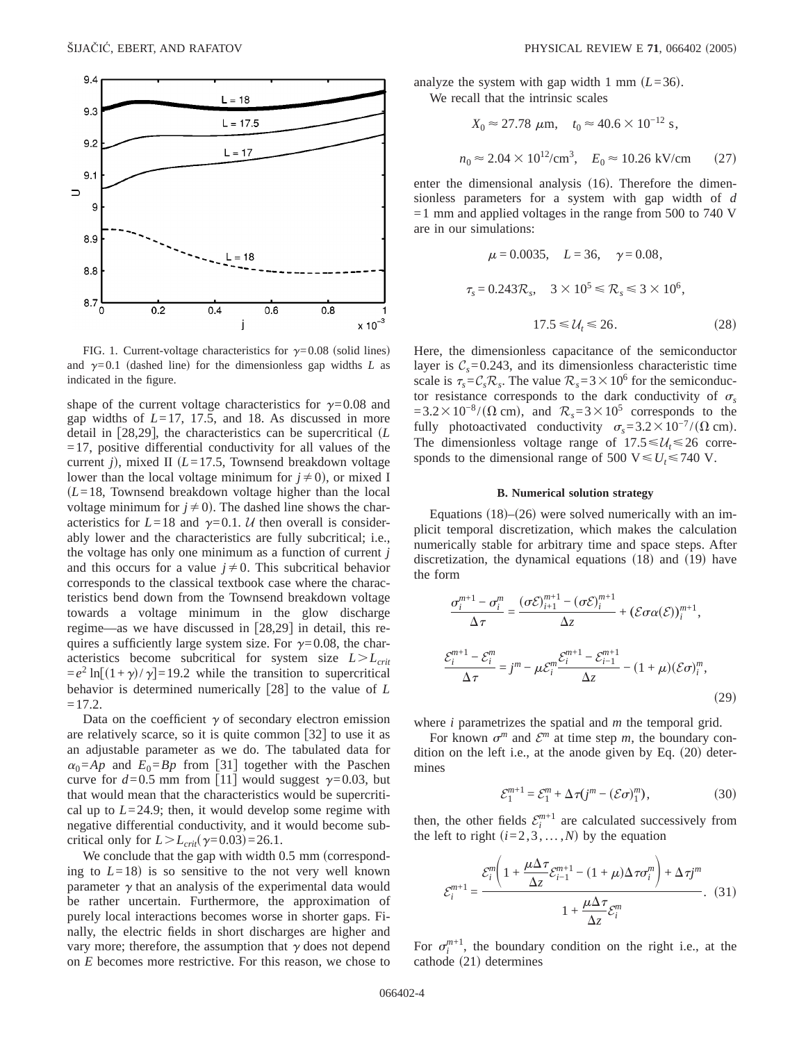

FIG. 1. Current-voltage characteristics for  $\gamma = 0.08$  (solid lines) and  $\gamma=0.1$  (dashed line) for the dimensionless gap widths *L* as indicated in the figure.

shape of the current voltage characteristics for  $\gamma=0.08$  and gap widths of *L*=17, 17.5, and 18. As discussed in more detail in [28,29], the characteristics can be supercritical  $(L)$  $=17$ , positive differential conductivity for all values of the current *j*), mixed II ( $L=17.5$ , Townsend breakdown voltage lower than the local voltage minimum for  $j\neq0$ , or mixed I  $(L=18,$  Townsend breakdown voltage higher than the local voltage minimum for  $j \neq 0$ ). The dashed line shows the characteristics for  $L=18$  and  $\gamma=0.1$ . U then overall is considerably lower and the characteristics are fully subcritical; i.e., the voltage has only one minimum as a function of current *j* and this occurs for a value  $j \neq 0$ . This subcritical behavior corresponds to the classical textbook case where the characteristics bend down from the Townsend breakdown voltage towards a voltage minimum in the glow discharge regime—as we have discussed in  $[28,29]$  in detail, this requires a sufficiently large system size. For  $\gamma=0.08$ , the characteristics become subcritical for system size  $L>L<sub>crit</sub>$  $=e^2 \ln[(1+\gamma)/\gamma] = 19.2$  while the transition to supercritical behavior is determined numerically  $\lceil 28 \rceil$  to the value of *L*  $=17.2.$ 

Data on the coefficient  $\gamma$  of secondary electron emission are relatively scarce, so it is quite common  $[32]$  to use it as an adjustable parameter as we do. The tabulated data for  $\alpha_0 = Ap$  and  $E_0 = Bp$  from [31] together with the Paschen curve for  $d=0.5$  mm from [11] would suggest  $\gamma=0.03$ , but that would mean that the characteristics would be supercritical up to  $L=24.9$ ; then, it would develop some regime with negative differential conductivity, and it would become subcritical only for  $L > L_{crit}(\gamma = 0.03) = 26.1$ .

We conclude that the gap with width  $0.5 \text{ mm}$  (corresponding to  $L=18$ ) is so sensitive to the not very well known parameter  $\gamma$  that an analysis of the experimental data would be rather uncertain. Furthermore, the approximation of purely local interactions becomes worse in shorter gaps. Finally, the electric fields in short discharges are higher and vary more; therefore, the assumption that  $\gamma$  does not depend on *E* becomes more restrictive. For this reason, we chose to analyze the system with gap width 1 mm  $(L=36)$ . We recall that the intrinsic scales

$$
X_0 \approx 27.78 \ \mu \text{m}, \quad t_0 \approx 40.6 \times 10^{-12} \text{ s},
$$
  
 $n_0 \approx 2.04 \times 10^{12} / \text{cm}^3, \quad E_0 \approx 10.26 \text{ kV/cm}$  (27)

enter the dimensional analysis  $(16)$ . Therefore the dimensionless parameters for a system with gap width of *d*  $=1$  mm and applied voltages in the range from 500 to 740 V are in our simulations:

$$
\mu = 0.0035, \quad L = 36, \quad \gamma = 0.08,
$$
  
\n $\tau_s = 0.243 \mathcal{R}_s, \quad 3 \times 10^5 \le \mathcal{R}_s \le 3 \times 10^6,$   
\n $17.5 \le \mathcal{U}_t \le 26.$  (28)

Here, the dimensionless capacitance of the semiconductor layer is  $C_s = 0.243$ , and its dimensionless characteristic time scale is  $\tau_s = C_s \mathcal{R}_s$ . The value  $\mathcal{R}_s = 3 \times 10^6$  for the semiconductor resistance corresponds to the dark conductivity of  $\sigma_s$  $=3.2\times10^{-8}/(\Omega \text{ cm})$ , and  $\mathcal{R}_s=3\times10^5$  corresponds to the fully photoactivated conductivity  $\sigma_s = 3.2 \times 10^{-7} / (\Omega \text{ cm})$ . The dimensionless voltage range of  $17.5 \leq U_t \leq 26$  corresponds to the dimensional range of 500  $V \le U_t \le 740$  V.

## **B. Numerical solution strategy**

Equations  $(18)$ – $(26)$  were solved numerically with an implicit temporal discretization, which makes the calculation numerically stable for arbitrary time and space steps. After discretization, the dynamical equations  $(18)$  and  $(19)$  have the form

$$
\frac{\sigma_i^{m+1} - \sigma_i^m}{\Delta \tau} = \frac{(\sigma \mathcal{E})_{i+1}^{m+1} - (\sigma \mathcal{E})_i^{m+1}}{\Delta z} + (\mathcal{E}\sigma \alpha(\mathcal{E}))_i^{m+1},
$$
  

$$
\frac{\mathcal{E}_i^{m+1} - \mathcal{E}_i^m}{\Delta \tau} = j^m - \mu \mathcal{E}_i^m \frac{\mathcal{E}_i^{m+1} - \mathcal{E}_{i-1}^{m+1}}{\Delta z} - (1 + \mu)(\mathcal{E}\sigma)_i^m,
$$
(29)

where *i* parametrizes the spatial and *m* the temporal grid.

For known  $\sigma^m$  and  $\mathcal{E}^m$  at time step *m*, the boundary condition on the left i.e., at the anode given by Eq.  $(20)$  determines

$$
\mathcal{E}_1^{m+1} = \mathcal{E}_1^m + \Delta \tau (j^m - (\mathcal{E}\sigma)_1^m),\tag{30}
$$

then, the other fields  $\mathcal{E}_i^{m+1}$  are calculated successively from the left to right  $(i=2,3,...,N)$  by the equation

$$
\mathcal{E}_{i}^{m+1} = \frac{\mathcal{E}_{i}^{m} \bigg( 1 + \frac{\mu \Delta \tau}{\Delta z} \mathcal{E}_{i-1}^{m+1} - (1 + \mu) \Delta \tau \sigma_{i}^{m} \bigg) + \Delta \tau j^{m}}{1 + \frac{\mu \Delta \tau}{\Delta z} \mathcal{E}_{i}^{m}}.
$$
 (31)

For  $\sigma_i^{m+1}$ , the boundary condition on the right i.e., at the cathode  $(21)$  determines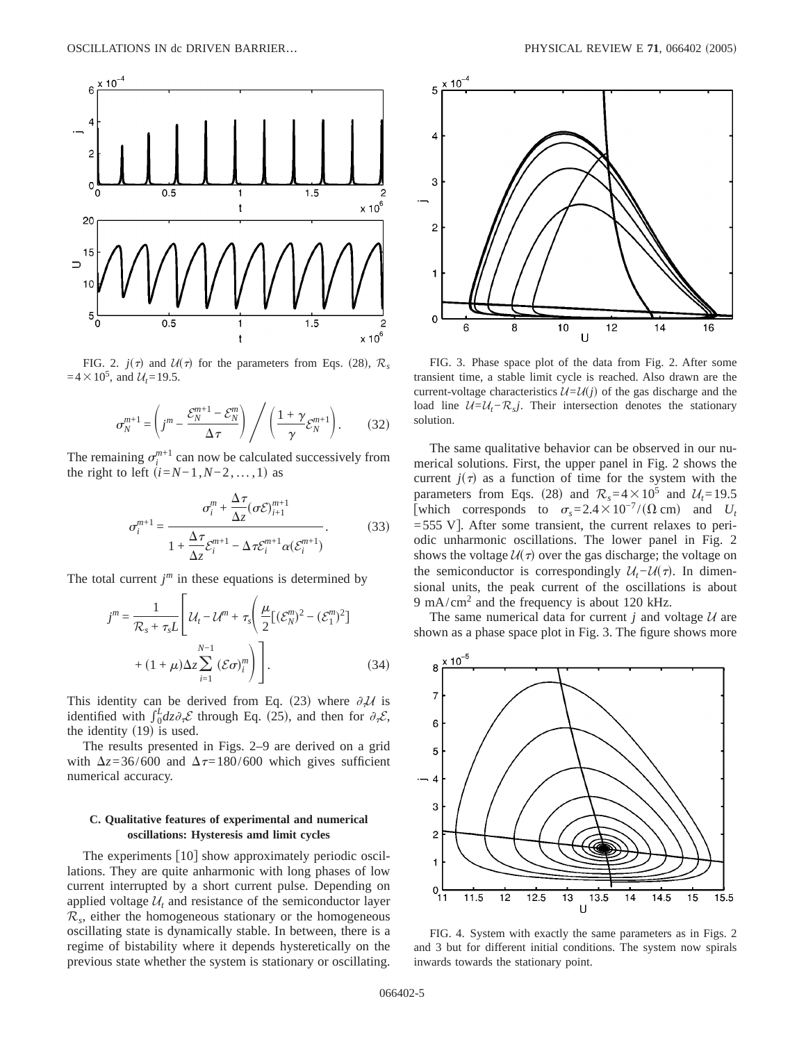

FIG. 2.  $j(\tau)$  and  $U(\tau)$  for the parameters from Eqs. (28),  $\mathcal{R}_s$  $=4\times10^{5}$ , and  $U_{t}=19.5$ .

$$
\sigma_N^{m+1} = \left(j^m - \frac{\mathcal{E}_N^{m+1} - \mathcal{E}_N^m}{\Delta \tau}\right) / \left(\frac{1 + \gamma}{\gamma} \mathcal{E}_N^{m+1}\right). \tag{32}
$$

The remaining  $\sigma_i^{m+1}$  can now be calculated successively from the right to left  $(i=N-1,N-2,\ldots,1)$  as

$$
\sigma_i^{m+1} = \frac{\sigma_i^m + \frac{\Delta \tau}{\Delta z} (\sigma \mathcal{E})_{i+1}^{m+1}}{1 + \frac{\Delta \tau}{\Delta z} \mathcal{E}_i^{m+1} - \Delta \tau \mathcal{E}_i^{m+1} \alpha(\mathcal{E}_i^{m+1})}.
$$
(33)

The total current  $j<sup>m</sup>$  in these equations is determined by

$$
j^{m} = \frac{1}{\mathcal{R}_{s} + \tau_{s}L} \left[ \mathcal{U}_{t} - \mathcal{U}^{m} + \tau_{s} \left( \frac{\mu}{2} [(\mathcal{E}_{N}^{m})^{2} - (\mathcal{E}_{1}^{m})^{2}] + (1 + \mu) \Delta z \sum_{i=1}^{N-1} (\mathcal{E}\sigma)_{i}^{m} \right) \right].
$$
 (34)

This identity can be derived from Eq. (23) where  $\partial_t U$  is identified with  $\int_0^L dz \partial_{\tau} \mathcal{E}$  through Eq. (25), and then for  $\partial_{\tau} \mathcal{E}$ , the identity  $(19)$  is used.

The results presented in Figs. 2–9 are derived on a grid with  $\Delta z = 36/600$  and  $\Delta \tau = 180/600$  which gives sufficient numerical accuracy.

## **C. Qualitative features of experimental and numerical oscillations: Hysteresis amd limit cycles**

The experiments  $[10]$  show approximately periodic oscillations. They are quite anharmonic with long phases of low current interrupted by a short current pulse. Depending on applied voltage  $U_t$  and resistance of the semiconductor layer  $\mathcal{R}_s$ , either the homogeneous stationary or the homogeneous oscillating state is dynamically stable. In between, there is a regime of bistability where it depends hysteretically on the previous state whether the system is stationary or oscillating.



FIG. 3. Phase space plot of the data from Fig. 2. After some transient time, a stable limit cycle is reached. Also drawn are the current-voltage characteristics  $U=U(j)$  of the gas discharge and the load line  $U=U_t−R_sj$ . Their intersection denotes the stationary solution.

The same qualitative behavior can be observed in our numerical solutions. First, the upper panel in Fig. 2 shows the current  $j(\tau)$  as a function of time for the system with the parameters from Eqs. (28) and  $\mathcal{R}_s = 4 \times 10^5$  and  $\mathcal{U}_t = 19.5$ [which corresponds to  $\sigma_s = 2.4 \times 10^{-7} / (\Omega \text{ cm})$  and *U<sub>t</sub>*  $=$  555 V]. After some transient, the current relaxes to periodic unharmonic oscillations. The lower panel in Fig. 2 shows the voltage  $U(\tau)$  over the gas discharge; the voltage on the semiconductor is correspondingly  $U_t$ − $U(\tau)$ . In dimensional units, the peak current of the oscillations is about 9 mA/cm<sup>2</sup> and the frequency is about 120 kHz.

The same numerical data for current  $j$  and voltage  $U$  are shown as a phase space plot in Fig. 3. The figure shows more



FIG. 4. System with exactly the same parameters as in Figs. 2 and 3 but for different initial conditions. The system now spirals inwards towards the stationary point.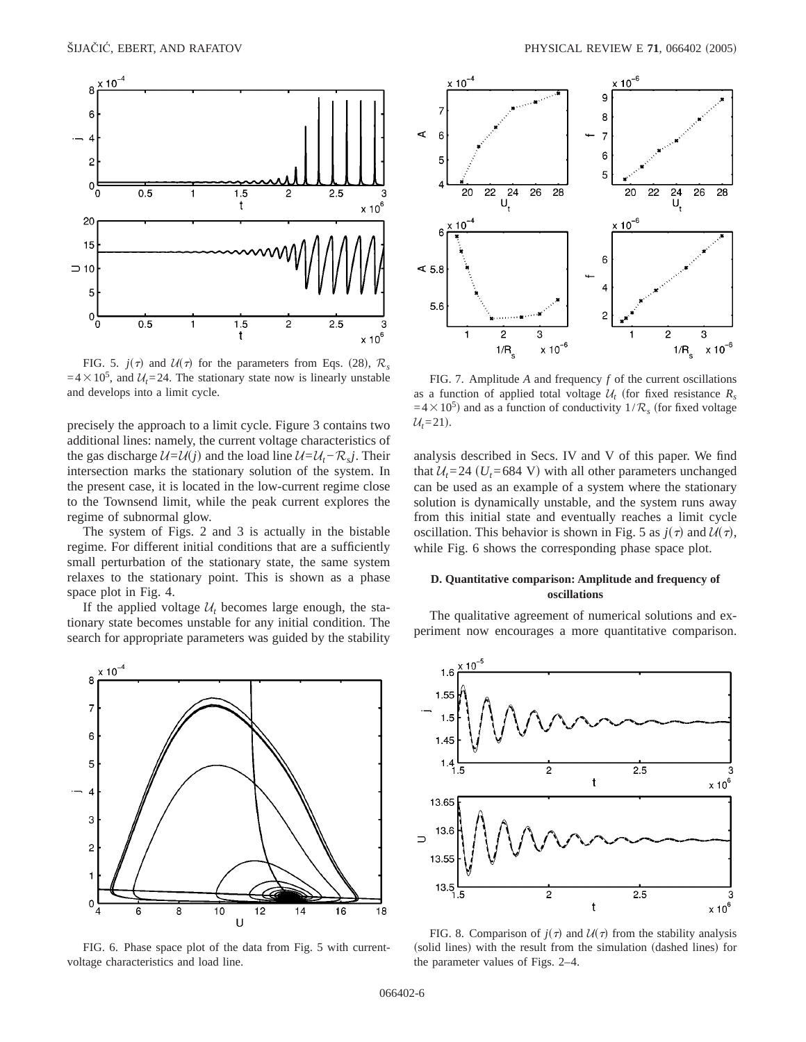

FIG. 5.  $j(\tau)$  and  $U(\tau)$  for the parameters from Eqs. (28),  $\mathcal{R}_s$  $=4\times10^5$ , and  $U_t=24$ . The stationary state now is linearly unstable and develops into a limit cycle.

precisely the approach to a limit cycle. Figure 3 contains two additional lines: namely, the current voltage characteristics of the gas discharge  $U=U(j)$  and the load line  $U=U_t-\mathcal{R}_s j$ . Their intersection marks the stationary solution of the system. In the present case, it is located in the low-current regime close to the Townsend limit, while the peak current explores the regime of subnormal glow.

The system of Figs. 2 and 3 is actually in the bistable regime. For different initial conditions that are a sufficiently small perturbation of the stationary state, the same system relaxes to the stationary point. This is shown as a phase space plot in Fig. 4.

If the applied voltage  $U_t$  becomes large enough, the stationary state becomes unstable for any initial condition. The search for appropriate parameters was guided by the stability



FIG. 6. Phase space plot of the data from Fig. 5 with currentvoltage characteristics and load line.



FIG. 7. Amplitude *A* and frequency *f* of the current oscillations as a function of applied total voltage  $U_t$  (for fixed resistance  $R_s$  $=4\times10^5$ ) and as a function of conductivity  $1/R_s$  (for fixed voltage  $U_t = 21$ .

analysis described in Secs. IV and V of this paper. We find that  $U_t$ =24 ( $U_t$ =684 V) with all other parameters unchanged can be used as an example of a system where the stationary solution is dynamically unstable, and the system runs away from this initial state and eventually reaches a limit cycle oscillation. This behavior is shown in Fig. 5 as  $j(\tau)$  and  $U(\tau)$ , while Fig. 6 shows the corresponding phase space plot.

## **D. Quantitative comparison: Amplitude and frequency of oscillations**

The qualitative agreement of numerical solutions and experiment now encourages a more quantitative comparison.



FIG. 8. Comparison of  $j(\tau)$  and  $\mathcal{U}(\tau)$  from the stability analysis (solid lines) with the result from the simulation (dashed lines) for the parameter values of Figs. 2–4.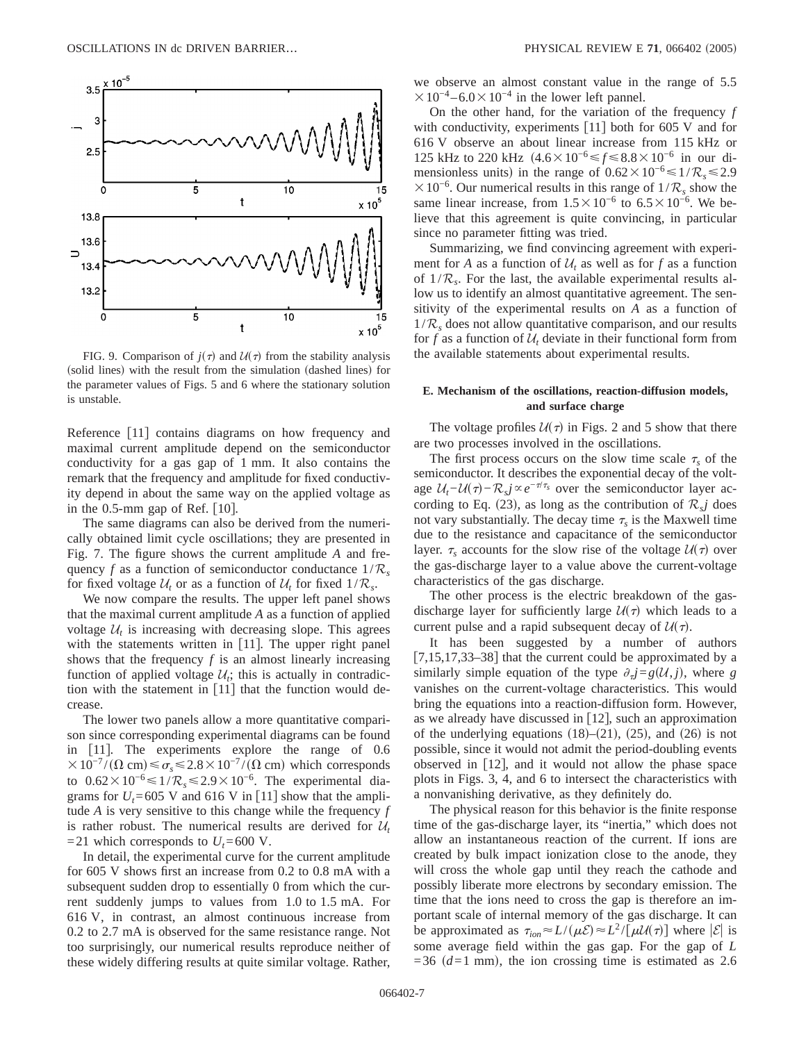

FIG. 9. Comparison of  $j(\tau)$  and  $U(\tau)$  from the stability analysis (solid lines) with the result from the simulation (dashed lines) for the parameter values of Figs. 5 and 6 where the stationary solution is unstable.

Reference [11] contains diagrams on how frequency and maximal current amplitude depend on the semiconductor conductivity for a gas gap of 1 mm. It also contains the remark that the frequency and amplitude for fixed conductivity depend in about the same way on the applied voltage as in the 0.5-mm gap of Ref.  $[10]$ .

The same diagrams can also be derived from the numerically obtained limit cycle oscillations; they are presented in Fig. 7. The figure shows the current amplitude *A* and frequency f as a function of semiconductor conductance  $1/R<sub>s</sub>$ for fixed voltage  $U_t$  or as a function of  $U_t$  for fixed  $1/R_s$ .

We now compare the results. The upper left panel shows that the maximal current amplitude *A* as a function of applied voltage  $U_t$  is increasing with decreasing slope. This agrees with the statements written in  $[11]$ . The upper right panel shows that the frequency  $f$  is an almost linearly increasing function of applied voltage  $U_t$ ; this is actually in contradiction with the statement in  $[11]$  that the function would decrease.

The lower two panels allow a more quantitative comparison since corresponding experimental diagrams can be found in  $\lceil 11 \rceil$ . The experiments explore the range of 0.6  $\times 10^{-7} / (\Omega \text{ cm}) \le \sigma_s \le 2.8 \times 10^{-7} / (\Omega \text{ cm})$  which corresponds to  $0.62 \times 10^{-6}$   $\leq 1/R_s$   $\leq 2.9 \times 10^{-6}$ . The experimental diagrams for  $U_t$ =605 V and 616 V in [11] show that the amplitude *A* is very sensitive to this change while the frequency *f* is rather robust. The numerical results are derived for  $U_t$  $=21$  which corresponds to  $U_t = 600$  V.

In detail, the experimental curve for the current amplitude for 605 V shows first an increase from 0.2 to 0.8 mA with a subsequent sudden drop to essentially 0 from which the current suddenly jumps to values from 1.0 to 1.5 mA. For 616 V, in contrast, an almost continuous increase from 0.2 to 2.7 mA is observed for the same resistance range. Not too surprisingly, our numerical results reproduce neither of these widely differing results at quite similar voltage. Rather, we observe an almost constant value in the range of 5.5  $\times 10^{-4}$  – 6.0  $\times 10^{-4}$  in the lower left pannel.

On the other hand, for the variation of the frequency *f* with conductivity, experiments  $[11]$  both for 605 V and for 616 V observe an about linear increase from 115 kHz or 125 kHz to 220 kHz  $(4.6 \times 10^{-6} \le f \le 8.8 \times 10^{-6}$  in our dimensionless units) in the range of  $0.62 \times 10^{-6} \le 1/R_s \le 2.9$  $×10<sup>-6</sup>$ . Our numerical results in this range of  $1/R<sub>s</sub>$  show the same linear increase, from  $1.5 \times 10^{-6}$  to  $6.5 \times 10^{-6}$ . We believe that this agreement is quite convincing, in particular since no parameter fitting was tried.

Summarizing, we find convincing agreement with experiment for *A* as a function of  $U_t$  as well as for *f* as a function of  $1/R<sub>s</sub>$ . For the last, the available experimental results allow us to identify an almost quantitative agreement. The sensitivity of the experimental results on *A* as a function of  $1/R_s$  does not allow quantitative comparison, and our results for f as a function of  $U_t$  deviate in their functional form from the available statements about experimental results.

# **E. Mechanism of the oscillations, reaction-diffusion models, and surface charge**

The voltage profiles  $U(\tau)$  in Figs. 2 and 5 show that there are two processes involved in the oscillations.

The first process occurs on the slow time scale  $\tau_s$  of the semiconductor. It describes the exponential decay of the voltage  $U_t$ − $U(\tau)$ − $\mathcal{R}_s$ *j*  $\propto$  *e*<sup>− $\tau/\tau_s$  over the semiconductor layer ac-</sup> cording to Eq. (23), as long as the contribution of  $\mathcal{R}_s$ *j* does not vary substantially. The decay time  $\tau_s$  is the Maxwell time due to the resistance and capacitance of the semiconductor layer.  $\tau_s$  accounts for the slow rise of the voltage  $U(\tau)$  over the gas-discharge layer to a value above the current-voltage characteristics of the gas discharge.

The other process is the electric breakdown of the gasdischarge layer for sufficiently large  $U(\tau)$  which leads to a current pulse and a rapid subsequent decay of  $U(\tau)$ .

It has been suggested by a number of authors  $[7,15,17,33-38]$  that the current could be approximated by a similarly simple equation of the type  $\partial_{\tau}j=g(U, j)$ , where *g* vanishes on the current-voltage characteristics. This would bring the equations into a reaction-diffusion form. However, as we already have discussed in  $[12]$ , such an approximation of the underlying equations  $(18)$ – $(21)$ ,  $(25)$ , and  $(26)$  is not possible, since it would not admit the period-doubling events observed in  $[12]$ , and it would not allow the phase space plots in Figs. 3, 4, and 6 to intersect the characteristics with a nonvanishing derivative, as they definitely do.

The physical reason for this behavior is the finite response time of the gas-discharge layer, its "inertia," which does not allow an instantaneous reaction of the current. If ions are created by bulk impact ionization close to the anode, they will cross the whole gap until they reach the cathode and possibly liberate more electrons by secondary emission. The time that the ions need to cross the gap is therefore an important scale of internal memory of the gas discharge. It can be approximated as  $\tau_{ion} \approx L/(\mu \mathcal{E}) \approx L^2/[\mu \mathcal{U}(\tau)]$  where  $|\mathcal{E}|$  is some average field within the gas gap. For the gap of *L*  $=36$  ( $d=1$  mm), the ion crossing time is estimated as 2.6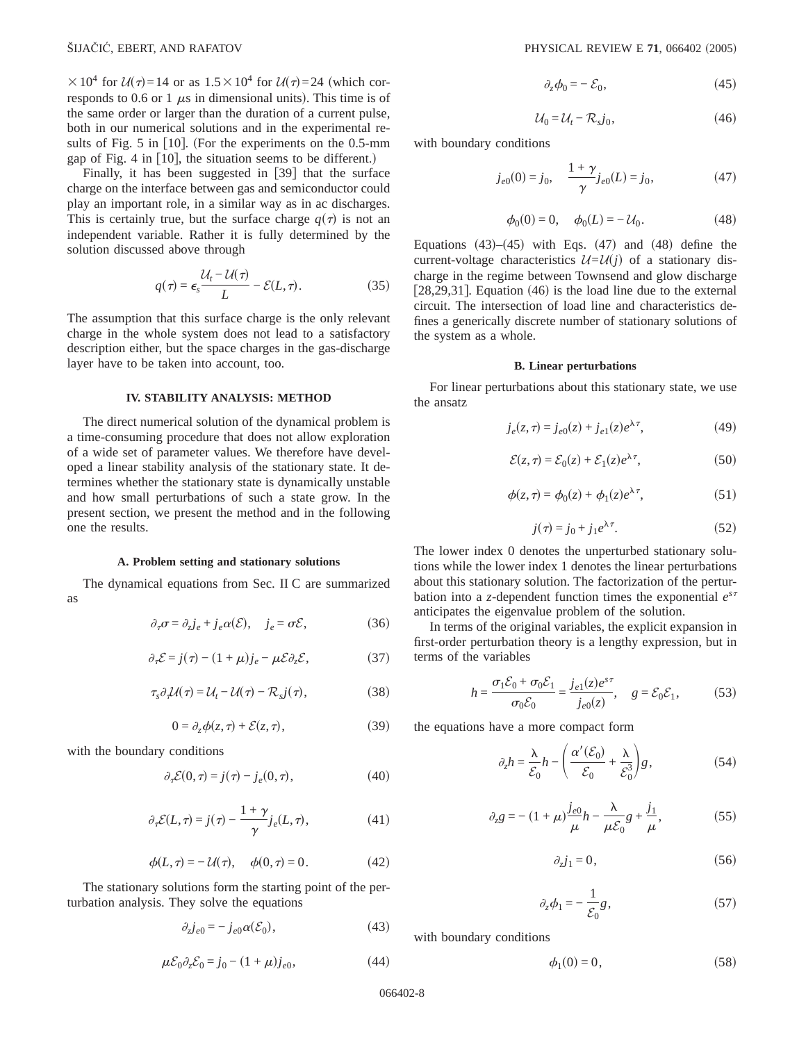$\times 10^4$  for  $U(\tau)=14$  or as  $1.5\times10^4$  for  $U(\tau)=24$  (which corresponds to 0.6 or 1  $\mu$ s in dimensional units). This time is of the same order or larger than the duration of a current pulse, both in our numerical solutions and in the experimental results of Fig.  $5$  in [10]. (For the experiments on the 0.5-mm gap of Fig. 4 in  $[10]$ , the situation seems to be different.)

Finally, it has been suggested in  $[39]$  that the surface charge on the interface between gas and semiconductor could play an important role, in a similar way as in ac discharges. This is certainly true, but the surface charge  $q(\tau)$  is not an independent variable. Rather it is fully determined by the solution discussed above through

$$
q(\tau) = \epsilon_s \frac{\mathcal{U}_t - \mathcal{U}(\tau)}{L} - \mathcal{E}(L, \tau). \tag{35}
$$

The assumption that this surface charge is the only relevant charge in the whole system does not lead to a satisfactory description either, but the space charges in the gas-discharge layer have to be taken into account, too.

#### **IV. STABILITY ANALYSIS: METHOD**

The direct numerical solution of the dynamical problem is a time-consuming procedure that does not allow exploration of a wide set of parameter values. We therefore have developed a linear stability analysis of the stationary state. It determines whether the stationary state is dynamically unstable and how small perturbations of such a state grow. In the present section, we present the method and in the following one the results.

#### **A. Problem setting and stationary solutions**

The dynamical equations from Sec. II C are summarized as

$$
\partial_{\tau}\sigma = \partial_{z}j_{e} + j_{e}\alpha(\mathcal{E}), \quad j_{e} = \sigma\mathcal{E}, \tag{36}
$$

$$
\partial_{\tau} \mathcal{E} = j(\tau) - (1 + \mu) j_e - \mu \mathcal{E} \partial_z \mathcal{E},\tag{37}
$$

$$
\tau_s \partial_\tau \mathcal{U}(\tau) = \mathcal{U}_t - \mathcal{U}(\tau) - \mathcal{R}_s j(\tau), \tag{38}
$$

$$
0 = \partial_z \phi(z, \tau) + \mathcal{E}(z, \tau), \tag{39}
$$

with the boundary conditions

$$
\partial_{\tau} \mathcal{E}(0,\tau) = j(\tau) - j_e(0,\tau), \qquad (40)
$$

$$
\partial_{\tau} \mathcal{E}(L,\tau) = j(\tau) - \frac{1+\gamma}{\gamma} j_e(L,\tau), \qquad (41)
$$

$$
\phi(L,\tau) = -\mathcal{U}(\tau), \quad \phi(0,\tau) = 0.
$$
 (42)

The stationary solutions form the starting point of the perturbation analysis. They solve the equations

$$
\partial_z j_{e0} = -j_{e0} \alpha(\mathcal{E}_0),\tag{43}
$$

$$
\mu \mathcal{E}_0 \partial_z \mathcal{E}_0 = j_0 - (1 + \mu) j_{e0},\tag{44}
$$

$$
\partial_z \phi_0 = -\mathcal{E}_0,\tag{45}
$$

$$
\mathcal{U}_0 = \mathcal{U}_t - \mathcal{R}_s j_0,\tag{46}
$$

with boundary conditions

$$
j_{e0}(0) = j_0, \quad \frac{1+\gamma}{\gamma} j_{e0}(L) = j_0,
$$
 (47)

$$
\phi_0(0) = 0, \quad \phi_0(L) = -\mathcal{U}_0.
$$
\n(48)

Equations  $(43)$ – $(45)$  with Eqs.  $(47)$  and  $(48)$  define the current-voltage characteristics  $U=U(j)$  of a stationary discharge in the regime between Townsend and glow discharge [ $28,29,31$ ]. Equation (46) is the load line due to the external circuit. The intersection of load line and characteristics defines a generically discrete number of stationary solutions of the system as a whole.

#### **B. Linear perturbations**

For linear perturbations about this stationary state, we use the ansatz

$$
j_e(z, \tau) = j_{e0}(z) + j_{e1}(z)e^{\lambda \tau}, \tag{49}
$$

$$
\mathcal{E}(z,\tau) = \mathcal{E}_0(z) + \mathcal{E}_1(z)e^{\lambda \tau},\tag{50}
$$

$$
\phi(z,\tau) = \phi_0(z) + \phi_1(z)e^{\lambda \tau},\tag{51}
$$

$$
j(\tau) = j_0 + j_1 e^{\lambda \tau}.\tag{52}
$$

The lower index 0 denotes the unperturbed stationary solutions while the lower index 1 denotes the linear perturbations about this stationary solution. The factorization of the perturbation into a *z*-dependent function times the exponential  $e^{s\tau}$ anticipates the eigenvalue problem of the solution.

In terms of the original variables, the explicit expansion in first-order perturbation theory is a lengthy expression, but in terms of the variables

$$
h = \frac{\sigma_1 \mathcal{E}_0 + \sigma_0 \mathcal{E}_1}{\sigma_0 \mathcal{E}_0} = \frac{j_{e1}(z)e^{s\tau}}{j_{e0}(z)}, \quad g = \mathcal{E}_0 \mathcal{E}_1,\tag{53}
$$

the equations have a more compact form

$$
\partial_z h = \frac{\lambda}{\mathcal{E}_0} h - \left( \frac{\alpha'(\mathcal{E}_0)}{\mathcal{E}_0} + \frac{\lambda}{\mathcal{E}_0^3} \right) g, \tag{54}
$$

$$
\partial_z g = -(1+\mu)\frac{j_{e0}}{\mu}h - \frac{\lambda}{\mu \mathcal{E}_0}g + \frac{j_1}{\mu},
$$
\n(55)

$$
\partial_z j_1 = 0,\t\t(56)
$$

$$
\partial_z \phi_1 = -\frac{1}{\mathcal{E}_0} g,\tag{57}
$$

with boundary conditions

$$
\phi_1(0) = 0,\tag{58}
$$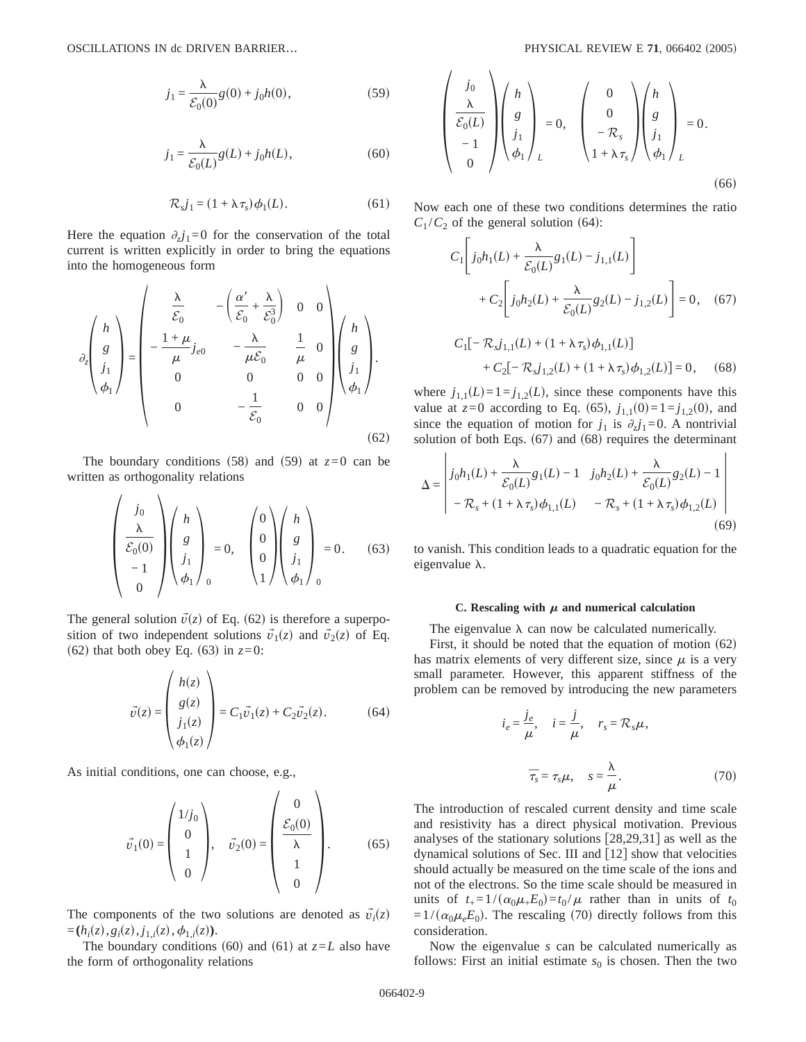$$
j_1 = \frac{\lambda}{\mathcal{E}_0(0)} g(0) + j_0 h(0),
$$
\n(59)

$$
j_1 = \frac{\lambda}{\mathcal{E}_0(L)} g(L) + j_0 h(L),\tag{60}
$$

$$
\mathcal{R}_s j_1 = (1 + \lambda \tau_s) \phi_1(L). \tag{61}
$$

Here the equation  $\partial_z j_1=0$  for the conservation of the total current is written explicitly in order to bring the equations into the homogeneous form

$$
\partial_z \begin{pmatrix} h \\ g \\ j_1 \\ \phi_1 \end{pmatrix} = \begin{pmatrix} \frac{\lambda}{\mathcal{E}_0} & -\left(\frac{\alpha'}{\mathcal{E}_0} + \frac{\lambda}{\mathcal{E}_0^3}\right) & 0 & 0 \\ -\frac{1+\mu}{\mu} j_{e0} & -\frac{\lambda}{\mu \mathcal{E}_0} & \frac{1}{\mu} & 0 \\ 0 & 0 & 0 & 0 \\ 0 & -\frac{1}{\mathcal{E}_0} & 0 & 0 \end{pmatrix} \begin{pmatrix} h \\ g \\ j_1 \\ \phi_1 \end{pmatrix}.
$$
\n(62)

The boundary conditions (58) and (59) at  $z=0$  can be written as orthogonality relations

 $\mathcal{L}$ 

 $\sim$   $\sim$ 

$$
\begin{pmatrix}\nj_0 \\
\lambda \\
\overline{\mathcal{E}_0(0)} \\
-1 \\
0\n\end{pmatrix}\n\begin{pmatrix}\nh \\
g \\
j_1 \\
\phi_1\n\end{pmatrix} = 0, \quad\n\begin{pmatrix}\n0 \\
0 \\
0 \\
1\n\end{pmatrix}\n\begin{pmatrix}\nh \\
g \\
j_1 \\
\phi_1\n\end{pmatrix} = 0.
$$
\n(63)

The general solution  $\vec{v}(z)$  of Eq. (62) is therefore a superposition of two independent solutions  $\vec{v}_1(z)$  and  $\vec{v}_2(z)$  of Eq. (62) that both obey Eq. (63) in  $z=0$ :

$$
\vec{v}(z) = \begin{pmatrix} h(z) \\ g(z) \\ j_1(z) \\ \phi_1(z) \end{pmatrix} = C_1 \vec{v}_1(z) + C_2 \vec{v}_2(z). \tag{64}
$$

 $\sim$   $\sim$ 

As initial conditions, one can choose, e.g.,

$$
\vec{v}_1(0) = \begin{pmatrix} 1/j_0 \\ 0 \\ 1 \\ 0 \end{pmatrix}, \quad \vec{v}_2(0) = \begin{pmatrix} 0 \\ \frac{\mathcal{E}_0(0)}{\lambda} \\ 1 \\ 0 \end{pmatrix}.
$$
 (65)

The components of the two solutions are denoted as  $\vec{v}_i(z)$  $=(h_i(z), g_i(z), j_{1,i}(z), \phi_{1,i}(z)).$ 

The boundary conditions (60) and (61) at  $z=L$  also have the form of orthogonality relations

$$
\begin{pmatrix}\nj_0 \\
\frac{\lambda}{\mathcal{E}_0(L)} \\
-1 \\
0\n\end{pmatrix}\n\begin{pmatrix}\nh \\
g \\
j_1 \\
\phi_1\n\end{pmatrix}_L = 0, \quad\n\begin{pmatrix}\n0 \\
0 \\
-R_s \\
1 + \lambda \tau_s\n\end{pmatrix}\n\begin{pmatrix}\nh \\
g \\
j_1 \\
j_1 \\
L\n\end{pmatrix}_L = 0.
$$
\n(66)

Now each one of these two conditions determines the ratio  $C_1 / C_2$  of the general solution (64):

$$
C_1 \left[ j_0 h_1(L) + \frac{\lambda}{\mathcal{E}_0(L)} g_1(L) - j_{1,1}(L) \right]
$$
  
+ 
$$
C_2 \left[ j_0 h_2(L) + \frac{\lambda}{\mathcal{E}_0(L)} g_2(L) - j_{1,2}(L) \right] = 0, \quad (67)
$$

$$
C_1[-\mathcal{R}_s j_{1,1}(L) + (1 + \lambda \tau_s) \phi_{1,1}(L)]
$$
  
+  $C_2[-\mathcal{R}_s j_{1,2}(L) + (1 + \lambda \tau_s) \phi_{1,2}(L)] = 0,$  (68)

where  $j_{1,1}(L)=1=j_{1,2}(L)$ , since these components have this value at  $z=0$  according to Eq. (65),  $j_{1,1}(0)=1=j_{1,2}(0)$ , and since the equation of motion for  $j_1$  is  $\partial_z j_1 = 0$ . A nontrivial solution of both Eqs.  $(67)$  and  $(68)$  requires the determinant

$$
\Delta = \begin{vmatrix} j_0 h_1(L) + \frac{\lambda}{\mathcal{E}_0(L)} g_1(L) - 1 & j_0 h_2(L) + \frac{\lambda}{\mathcal{E}_0(L)} g_2(L) - 1 \\ - \mathcal{R}_s + (1 + \lambda \tau_s) \phi_{1,1}(L) & - \mathcal{R}_s + (1 + \lambda \tau_s) \phi_{1,2}(L) \end{vmatrix}
$$
(69)

to vanish. This condition leads to a quadratic equation for the eigenvalue  $\lambda$ .

## C. Rescaling with  $\mu$  and numerical calculation

The eigenvalue  $\lambda$  can now be calculated numerically.

First, it should be noted that the equation of motion  $(62)$ has matrix elements of very different size, since  $\mu$  is a very small parameter. However, this apparent stiffness of the problem can be removed by introducing the new parameters

$$
i_e = \frac{j_e}{\mu}, \quad i = \frac{j}{\mu}, \quad r_s = \mathcal{R}_s \mu,
$$

$$
\overline{\tau}_s = \tau_s \mu, \quad s = \frac{\lambda}{\mu}.
$$
(70)

The introduction of rescaled current density and time scale and resistivity has a direct physical motivation. Previous analyses of the stationary solutions  $[28,29,31]$  as well as the dynamical solutions of Sec. III and  $\lceil 12 \rceil$  show that velocities should actually be measured on the time scale of the ions and not of the electrons. So the time scale should be measured in units of  $t_{+} = 1/(\alpha_0 \mu_{+} E_0) = t_0 / \mu$  rather than in units of  $t_0$  $=1/(\alpha_0\mu_eE_0)$ . The rescaling (70) directly follows from this consideration.

Now the eigenvalue *s* can be calculated numerically as follows: First an initial estimate  $s_0$  is chosen. Then the two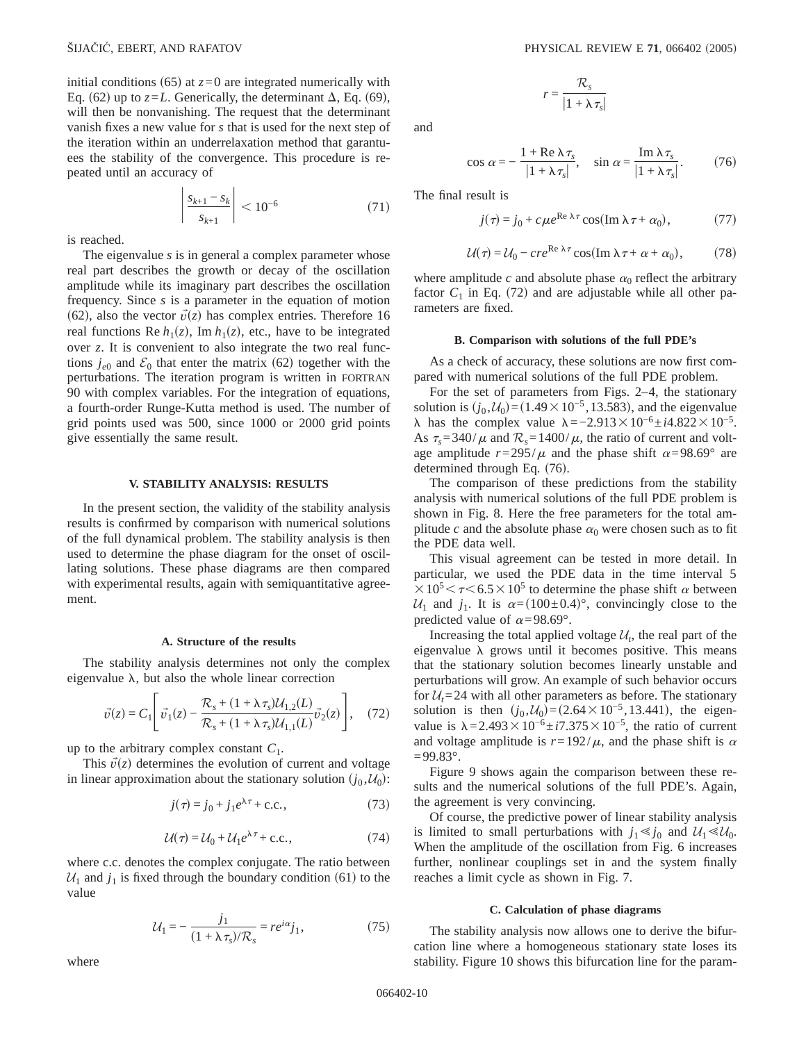initial conditions (65) at  $z=0$  are integrated numerically with Eq. (62) up to  $z=L$ . Generically, the determinant  $\Delta$ , Eq. (69), will then be nonvanishing. The request that the determinant vanish fixes a new value for *s* that is used for the next step of the iteration within an underrelaxation method that garantuees the stability of the convergence. This procedure is repeated until an accuracy of

$$
\left| \frac{s_{k+1} - s_k}{s_{k+1}} \right| < 10^{-6} \tag{71}
$$

is reached.

The eigenvalue *s* is in general a complex parameter whose real part describes the growth or decay of the oscillation amplitude while its imaginary part describes the oscillation frequency. Since *s* is a parameter in the equation of motion (62), also the vector  $\vec{v}(z)$  has complex entries. Therefore 16 real functions Re  $h_1(z)$ , Im  $h_1(z)$ , etc., have to be integrated over *z*. It is convenient to also integrate the two real functions  $j_{e0}$  and  $\mathcal{E}_0$  that enter the matrix (62) together with the perturbations. The iteration program is written in FORTRAN 90 with complex variables. For the integration of equations, a fourth-order Runge-Kutta method is used. The number of grid points used was 500, since 1000 or 2000 grid points give essentially the same result.

## **V. STABILITY ANALYSIS: RESULTS**

In the present section, the validity of the stability analysis results is confirmed by comparison with numerical solutions of the full dynamical problem. The stability analysis is then used to determine the phase diagram for the onset of oscillating solutions. These phase diagrams are then compared with experimental results, again with semiquantitative agreement.

#### **A. Structure of the results**

The stability analysis determines not only the complex eigenvalue  $\lambda$ , but also the whole linear correction

$$
\vec{v}(z) = C_1 \left[ \vec{v}_1(z) - \frac{\mathcal{R}_s + (1 + \lambda \tau_s) \mathcal{U}_{1,2}(L)}{\mathcal{R}_s + (1 + \lambda \tau_s) \mathcal{U}_{1,1}(L)} \vec{v}_2(z) \right], \quad (72)
$$

up to the arbitrary complex constant  $C_1$ .

This  $\vec{v}(z)$  determines the evolution of current and voltage in linear approximation about the stationary solution  $(j_0, \mathcal{U}_0)$ :

$$
j(\tau) = j_0 + j_1 e^{\lambda \tau} + \text{c.c.},\tag{73}
$$

$$
U(\tau) = U_0 + U_1 e^{\lambda \tau} + \text{c.c.},\tag{74}
$$

where c.c. denotes the complex conjugate. The ratio between  $U_1$  and  $j_1$  is fixed through the boundary condition (61) to the value

$$
\mathcal{U}_1 = -\frac{j_1}{(1 + \lambda \tau_s)/\mathcal{R}_s} = re^{i\alpha}j_1,\tag{75}
$$

$$
r = \frac{\mathcal{R}_s}{|1 + \lambda \tau_s|}
$$

and

$$
\cos \alpha = -\frac{1 + \text{Re }\lambda \tau_s}{|1 + \lambda \tau_s|}, \quad \sin \alpha = \frac{\text{Im }\lambda \tau_s}{|1 + \lambda \tau_s|}. \tag{76}
$$

The final result is

$$
j(\tau) = j_0 + c\mu e^{\text{Re }\lambda \tau} \cos(\text{Im }\lambda \tau + \alpha_0), \tag{77}
$$

$$
U(\tau) = U_0 - cre^{Re \lambda \tau} \cos(\operatorname{Im} \lambda \tau + \alpha + \alpha_0), \tag{78}
$$

where amplitude  $c$  and absolute phase  $\alpha_0$  reflect the arbitrary factor  $C_1$  in Eq. (72) and are adjustable while all other parameters are fixed.

#### **B. Comparison with solutions of the full PDE's**

As a check of accuracy, these solutions are now first compared with numerical solutions of the full PDE problem.

For the set of parameters from Figs. 2–4, the stationary solution is  $(j_0, \mathcal{U}_0) = (1.49 \times 10^{-5}, 13.583)$ , and the eigenvalue  $λ$  has the complex value  $λ = -2.913 \times 10^{-6} \pm i4.822 \times 10^{-5}$ . As  $\tau_s$ =340/ $\mu$  and  $\mathcal{R}_s$ =1400/ $\mu$ , the ratio of current and voltage amplitude  $r=295/\mu$  and the phase shift  $\alpha=98.69^{\circ}$  are determined through Eq.  $(76)$ .

The comparison of these predictions from the stability analysis with numerical solutions of the full PDE problem is shown in Fig. 8. Here the free parameters for the total amplitude *c* and the absolute phase  $\alpha_0$  were chosen such as to fit the PDE data well.

This visual agreement can be tested in more detail. In particular, we used the PDE data in the time interval 5  $\times 10^5 \le \tau \le 6.5 \times 10^5$  to determine the phase shift  $\alpha$  between  $U_1$  and  $j_1$ . It is  $\alpha = (100 \pm 0.4)^\circ$ , convincingly close to the predicted value of  $\alpha = 98.69^{\circ}$ .

Increasing the total applied voltage  $\mathcal{U}_t$ , the real part of the eigenvalue  $\lambda$  grows until it becomes positive. This means that the stationary solution becomes linearly unstable and perturbations will grow. An example of such behavior occurs for  $U_t$ =24 with all other parameters as before. The stationary solution is then  $(j_0, \mathcal{U}_0) = (2.64 \times 10^{-5}, 13.441)$ , the eigenvalue is  $\lambda$ =2.493×10<sup>-6</sup>±*i*7.375×10<sup>-5</sup>, the ratio of current and voltage amplitude is  $r=192/\mu$ , and the phase shift is  $\alpha$  $=99.83^{\circ}$ .

Figure 9 shows again the comparison between these results and the numerical solutions of the full PDE's. Again, the agreement is very convincing.

Of course, the predictive power of linear stability analysis is limited to small perturbations with  $j_1 \leq j_0$  and  $\mathcal{U}_1 \leq \mathcal{U}_0$ . When the amplitude of the oscillation from Fig. 6 increases further, nonlinear couplings set in and the system finally reaches a limit cycle as shown in Fig. 7.

## **C. Calculation of phase diagrams**

The stability analysis now allows one to derive the bifurcation line where a homogeneous stationary state loses its stability. Figure 10 shows this bifurcation line for the param-

where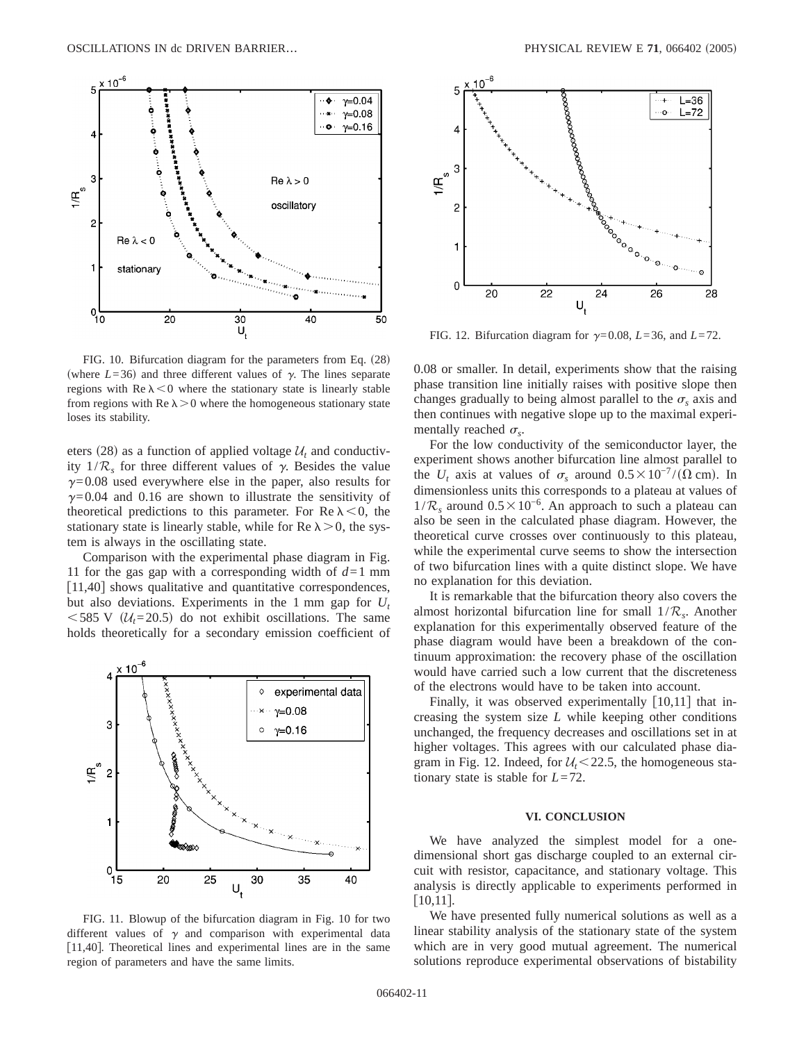

FIG. 10. Bifurcation diagram for the parameters from Eq.  $(28)$ (where  $L=36$ ) and three different values of  $\gamma$ . The lines separate regions with  $\text{Re }\lambda \leq 0$  where the stationary state is linearly stable from regions with Re  $\lambda > 0$  where the homogeneous stationary state loses its stability.

eters (28) as a function of applied voltage  $U_t$  and conductivity  $1/R_s$  for three different values of  $\gamma$ . Besides the value  $\gamma$ =0.08 used everywhere else in the paper, also results for  $\gamma$ =0.04 and 0.16 are shown to illustrate the sensitivity of theoretical predictions to this parameter. For Re  $\lambda < 0$ , the stationary state is linearly stable, while for Re  $\lambda > 0$ , the system is always in the oscillating state.

Comparison with the experimental phase diagram in Fig. 11 for the gas gap with a corresponding width of  $d=1$  mm  $[11,40]$  shows qualitative and quantitative correspondences, but also deviations. Experiments in the 1 mm gap for *Ut*  $<$  585 V ( $\mathcal{U}_t$ =20.5) do not exhibit oscillations. The same holds theoretically for a secondary emission coefficient of



FIG. 11. Blowup of the bifurcation diagram in Fig. 10 for two different values of  $\gamma$  and comparison with experimental data  $[11,40]$ . Theoretical lines and experimental lines are in the same region of parameters and have the same limits.



FIG. 12. Bifurcation diagram for  $\gamma = 0.08$ ,  $L = 36$ , and  $L = 72$ .

0.08 or smaller. In detail, experiments show that the raising phase transition line initially raises with positive slope then changes gradually to being almost parallel to the  $\sigma<sub>s</sub>$  axis and then continues with negative slope up to the maximal experimentally reached  $\sigma_{s}$ .

For the low conductivity of the semiconductor layer, the experiment shows another bifurcation line almost parallel to the  $U_t$  axis at values of  $\sigma_s$  around  $0.5 \times 10^{-7} / (\Omega \text{ cm})$ . In dimensionless units this corresponds to a plateau at values of  $1/R_s$  around  $0.5 \times 10^{-6}$ . An approach to such a plateau can also be seen in the calculated phase diagram. However, the theoretical curve crosses over continuously to this plateau, while the experimental curve seems to show the intersection of two bifurcation lines with a quite distinct slope. We have no explanation for this deviation.

It is remarkable that the bifurcation theory also covers the almost horizontal bifurcation line for small 1/R*s*. Another explanation for this experimentally observed feature of the phase diagram would have been a breakdown of the continuum approximation: the recovery phase of the oscillation would have carried such a low current that the discreteness of the electrons would have to be taken into account.

Finally, it was observed experimentally  $[10,11]$  that increasing the system size *L* while keeping other conditions unchanged, the frequency decreases and oscillations set in at higher voltages. This agrees with our calculated phase diagram in Fig. 12. Indeed, for  $U_t < 22.5$ , the homogeneous stationary state is stable for *L*=72.

#### **VI. CONCLUSION**

We have analyzed the simplest model for a onedimensional short gas discharge coupled to an external circuit with resistor, capacitance, and stationary voltage. This analysis is directly applicable to experiments performed in  $[10,11]$ .

We have presented fully numerical solutions as well as a linear stability analysis of the stationary state of the system which are in very good mutual agreement. The numerical solutions reproduce experimental observations of bistability